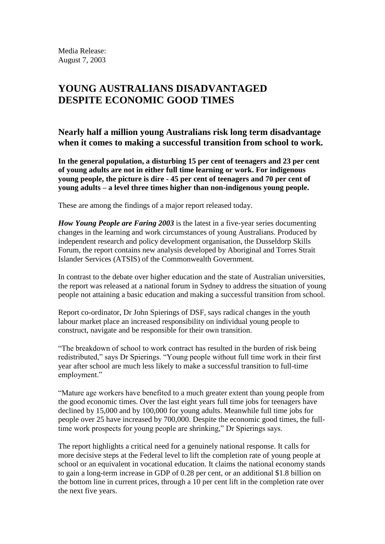Media Release: August 7, 2003

# **YOUNG AUSTRALIANS DISADVANTAGED DESPITE ECONOMIC GOOD TIMES**

**Nearly half a million young Australians risk long term disadvantage when it comes to making a successful transition from school to work.** 

**In the general population, a disturbing 15 per cent of teenagers and 23 per cent of young adults are not in either full time learning or work. For indigenous young people, the picture is dire - 45 per cent of teenagers and 70 per cent of young adults – a level three times higher than non-indigenous young people.**

These are among the findings of a major report released today.

*How Young People are Faring 2003* is the latest in a five-year series documenting changes in the learning and work circumstances of young Australians. Produced by independent research and policy development organisation, the Dusseldorp Skills Forum, the report contains new analysis developed by Aboriginal and Torres Strait Islander Services (ATSIS) of the Commonwealth Government.

In contrast to the debate over higher education and the state of Australian universities, the report was released at a national forum in Sydney to address the situation of young people not attaining a basic education and making a successful transition from school.

Report co-ordinator, Dr John Spierings of DSF, says radical changes in the youth labour market place an increased responsibility on individual young people to construct, navigate and be responsible for their own transition.

"The breakdown of school to work contract has resulted in the burden of risk being redistributed," says Dr Spierings. "Young people without full time work in their first year after school are much less likely to make a successful transition to full-time employment."

"Mature age workers have benefited to a much greater extent than young people from the good economic times. Over the last eight years full time jobs for teenagers have declined by 15,000 and by 100,000 for young adults. Meanwhile full time jobs for people over 25 have increased by 700,000. Despite the economic good times, the fulltime work prospects for young people are shrinking," Dr Spierings says.

The report highlights a critical need for a genuinely national response. It calls for more decisive steps at the Federal level to lift the completion rate of young people at school or an equivalent in vocational education. It claims the national economy stands to gain a long-term increase in GDP of 0.28 per cent, or an additional \$1.8 billion on the bottom line in current prices, through a 10 per cent lift in the completion rate over the next five years.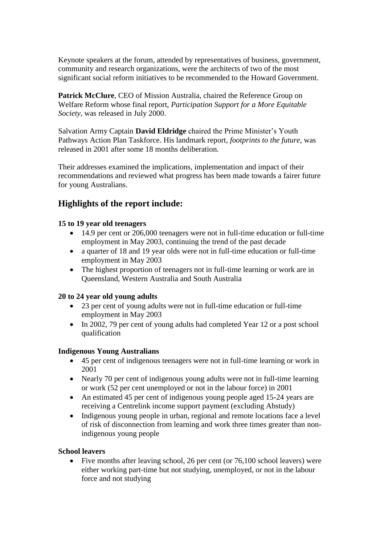Keynote speakers at the forum, attended by representatives of business, government, community and research organizations, were the architects of two of the most significant social reform initiatives to be recommended to the Howard Government.

**Patrick McClure**, CEO of Mission Australia, chaired the Reference Group on Welfare Reform whose final report, *Participation Support for a More Equitable Society*, was released in July 2000.

Salvation Army Captain **David Eldridge** chaired the Prime Minister's Youth Pathways Action Plan Taskforce. His landmark report, *footprints to the future*, was released in 2001 after some 18 months deliberation.

Their addresses examined the implications, implementation and impact of their recommendations and reviewed what progress has been made towards a fairer future for young Australians.

# **Highlights of the report include:**

### **15 to 19 year old teenagers**

- 14.9 per cent or 206,000 teenagers were not in full-time education or full-time employment in May 2003, continuing the trend of the past decade
- a quarter of 18 and 19 year olds were not in full-time education or full-time employment in May 2003
- The highest proportion of teenagers not in full-time learning or work are in Queensland, Western Australia and South Australia

# **20 to 24 year old young adults**

- 23 per cent of young adults were not in full-time education or full-time employment in May 2003
- In 2002, 79 per cent of young adults had completed Year 12 or a post school qualification

#### **Indigenous Young Australians**

- 45 per cent of indigenous teenagers were not in full-time learning or work in 2001
- Nearly 70 per cent of indigenous young adults were not in full-time learning or work (52 per cent unemployed or not in the labour force) in 2001
- An estimated 45 per cent of indigenous young people aged 15-24 years are receiving a Centrelink income support payment (excluding Abstudy)
- Indigenous young people in urban, regional and remote locations face a level of risk of disconnection from learning and work three times greater than nonindigenous young people

# **School leavers**

• Five months after leaving school, 26 per cent (or 76,100 school leavers) were either working part-time but not studying, unemployed, or not in the labour force and not studying